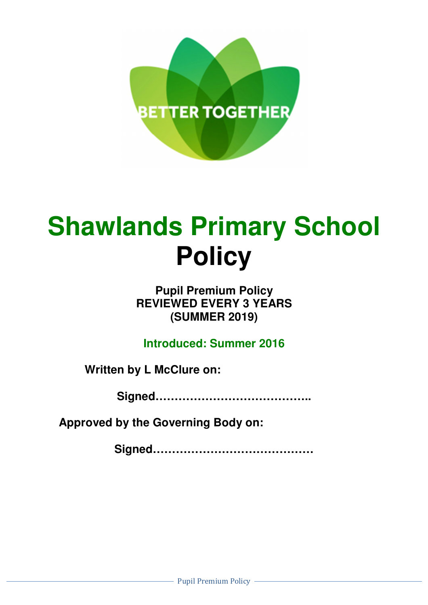

# **Shawlands Primary School Policy**

# **Pupil Premium Policy REVIEWED EVERY 3 YEARS (SUMMER 2019)**

**Introduced: Summer 2016** 

**Written by L McClure on:** 

**Signed…………………………………..** 

**Approved by the Governing Body on:** 

**Signed……………………………………**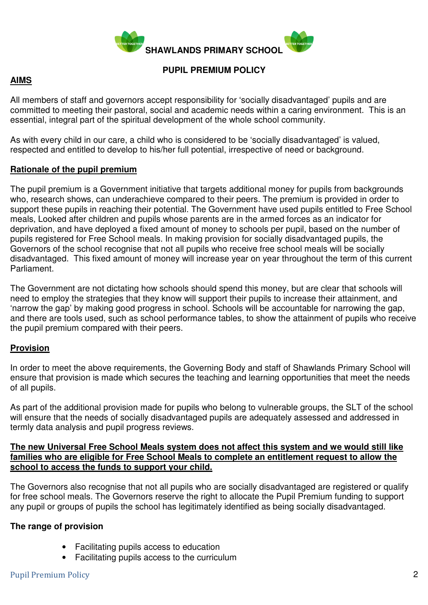

#### **PUPIL PREMIUM POLICY**

# **AIMS**

All members of staff and governors accept responsibility for 'socially disadvantaged' pupils and are committed to meeting their pastoral, social and academic needs within a caring environment. This is an essential, integral part of the spiritual development of the whole school community.

As with every child in our care, a child who is considered to be 'socially disadvantaged' is valued, respected and entitled to develop to his/her full potential, irrespective of need or background.

#### **Rationale of the pupil premium**

The pupil premium is a Government initiative that targets additional money for pupils from backgrounds who, research shows, can underachieve compared to their peers. The premium is provided in order to support these pupils in reaching their potential. The Government have used pupils entitled to Free School meals, Looked after children and pupils whose parents are in the armed forces as an indicator for deprivation, and have deployed a fixed amount of money to schools per pupil, based on the number of pupils registered for Free School meals. In making provision for socially disadvantaged pupils, the Governors of the school recognise that not all pupils who receive free school meals will be socially disadvantaged. This fixed amount of money will increase year on year throughout the term of this current Parliament.

The Government are not dictating how schools should spend this money, but are clear that schools will need to employ the strategies that they know will support their pupils to increase their attainment, and 'narrow the gap' by making good progress in school. Schools will be accountable for narrowing the gap, and there are tools used, such as school performance tables, to show the attainment of pupils who receive the pupil premium compared with their peers.

# **Provision**

In order to meet the above requirements, the Governing Body and staff of Shawlands Primary School will ensure that provision is made which secures the teaching and learning opportunities that meet the needs of all pupils.

As part of the additional provision made for pupils who belong to vulnerable groups, the SLT of the school will ensure that the needs of socially disadvantaged pupils are adequately assessed and addressed in termly data analysis and pupil progress reviews.

#### **The new Universal Free School Meals system does not affect this system and we would still like families who are eligible for Free School Meals to complete an entitlement request to allow the school to access the funds to support your child.**

The Governors also recognise that not all pupils who are socially disadvantaged are registered or qualify for free school meals. The Governors reserve the right to allocate the Pupil Premium funding to support any pupil or groups of pupils the school has legitimately identified as being socially disadvantaged.

# **The range of provision**

- Facilitating pupils access to education
- Facilitating pupils access to the curriculum

#### Pupil Premium Policy 2